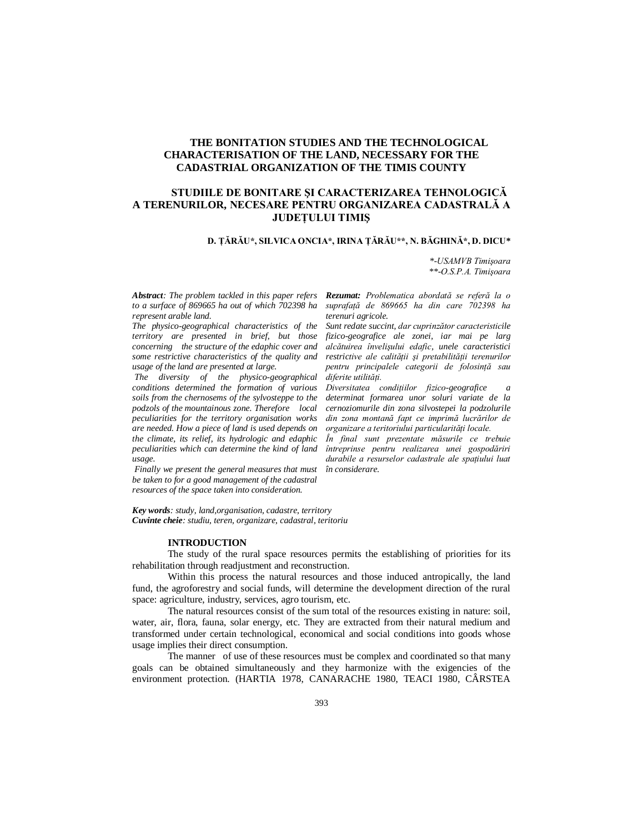# **THE BONITATION STUDIES AND THE TECHNOLOGICAL CHARACTERISATION OF THE LAND, NECESSARY FOR THE CADASTRIAL ORGANIZATION OF THE TIMIS COUNTY**

## **STUDIILE DE BONITARE ŞI CARACTERIZAREA TEHNOLOGICĂ A TERENURILOR, NECESARE PENTRU ORGANIZAREA CADASTRALĂ A JUDEŢULUI TIMIŞ**

**D. ŢĂRĂU\*, SILVICA ONCIA\*, IRINA ŢĂRĂU\*\*, N. BĂGHINĂ\*, D. DICU\***

*\*-USAMVB Timişoara \*\*-O.S.P.A. Timişoara*

*to a surface of 869665 ha out of which 702398 ha represent arable land.*

*The physico-geographical characteristics of the territory are presented in brief, but those concerning the structure of the edaphic cover and some restrictive characteristics of the quality and usage of the land are presented at large.*

 *The diversity of the physico-geographical conditions determined the formation of various soils from the chernosems of the sylvosteppe to the podzols of the mountainous zone. Therefore local peculiarities for the territory organisation works are needed. How a piece of land is used depends on the climate, its relief, its hydrologic and edaphic peculiarities which can determine the kind of land usage.*

 *Finally we present the general measures that must be taken to for a good management of the cadastral resources of the space taken into consideration.*

*Abstract: The problem tackled in this paper refers Rezumat: Problematica abordată se referă la o suprafaţă de 869665 ha din care 702398 ha terenuri agricole.*

> *Sunt redate succint, dar cuprinzător caracteristicile fizico-geografice ale zonei, iar mai pe larg alcătuirea învelişului edafic, unele caracteristici restrictive ale calităţii şi pretabilităţii terenurilor pentru principalele categorii de folosinţă sau diferite utilităţi.*

> *Diversitatea condiţiilor fizico-geografice a determinat formarea unor soluri variate de la cernoziomurile din zona silvostepei la podzolurile din zona montană fapt ce imprimă lucrărilor de organizare a teritoriului particularităţi locale.*

> *În final sunt prezentate măsurile ce trebuie întreprinse pentru realizarea unei gospodăriri durabile a resurselor cadastrale ale spaţiului luat în considerare.*

*Key words: study, land,organisation, cadastre, territory Cuvinte cheie: studiu, teren, organizare, cadastral, teritoriu*

#### **INTRODUCTION**

The study of the rural space resources permits the establishing of priorities for its rehabilitation through readjustment and reconstruction.

Within this process the natural resources and those induced antropically, the land fund, the agroforestry and social funds, will determine the development direction of the rural space: agriculture, industry, services, agro tourism, etc.

The natural resources consist of the sum total of the resources existing in nature: soil, water, air, flora, fauna, solar energy, etc. They are extracted from their natural medium and transformed under certain technological, economical and social conditions into goods whose usage implies their direct consumption.

The manner of use of these resources must be complex and coordinated so that many goals can be obtained simultaneously and they harmonize with the exigencies of the environment protection. (HARTIA 1978, CANARACHE 1980, TEACI 1980, CÂRSTEA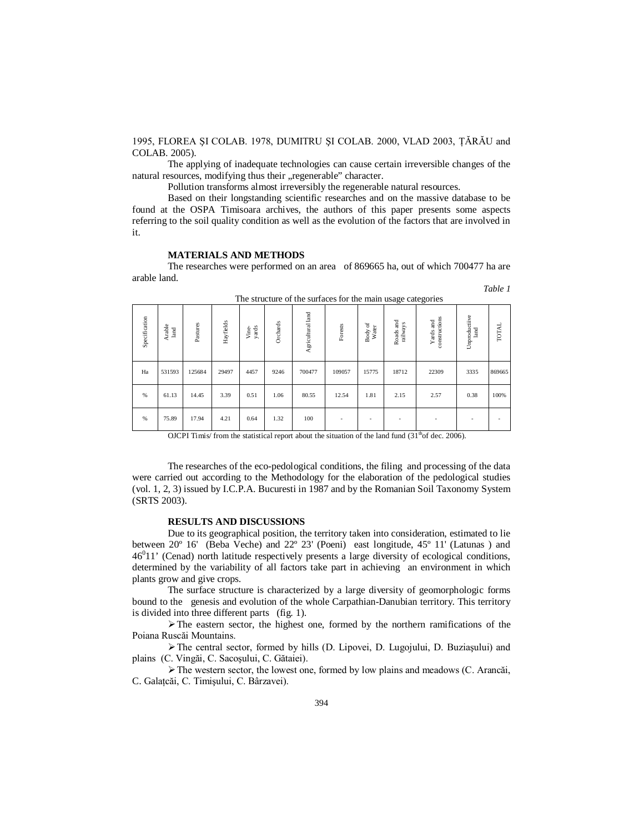1995, FLOREA ŞI COLAB. 1978, DUMITRU ŞI COLAB. 2000, VLAD 2003, ŢĂRĂU and COLAB. 2005).

The applying of inadequate technologies can cause certain irreversible changes of the natural resources, modifying thus their "regenerable" character.

Pollution transforms almost irreversibly the regenerable natural resources.

Based on their longstanding scientific researches and on the massive database to be found at the OSPA Timisoara archives, the authors of this paper presents some aspects referring to the soil quality condition as well as the evolution of the factors that are involved in it.

### **MATERIALS AND METHODS**

The researches were performed on an area of 869665 ha, out of which 700477 ha are arable land.

| The structure of the surfaces for the main usage categories |                |          |           |                |          |                   |         |                  |                       |                            |                       |        |
|-------------------------------------------------------------|----------------|----------|-----------|----------------|----------|-------------------|---------|------------------|-----------------------|----------------------------|-----------------------|--------|
| Specification                                               | Arable<br>land | Pastures | Hayfields | yards<br>Vine- | Orchards | Agricultural land | Forests | Body of<br>Water | Roads and<br>railways | constructions<br>Yards and | Unproductiive<br>land | TOTAL  |
| Ha                                                          | 531593         | 125684   | 29497     | 4457           | 9246     | 700477            | 109057  | 15775            | 18712                 | 22309                      | 3335                  | 869665 |
| %                                                           | 61.13          | 14.45    | 3.39      | 0.51           | 1.06     | 80.55             | 12.54   | 1.81             | 2.15                  | 2.57                       | 0.38                  | 100%   |
| $\%$                                                        | 75.89          | 17.94    | 4.21      | 0.64           | 1.32     | 100               |         |                  |                       |                            |                       |        |

The structure of the surfaces for the main usage categories

*Table 1*

OJCPI Timis/ from the statistical report about the situation of the land fund  $(31<sup>th</sup> of dec. 2006)$ .

The researches of the eco-pedological conditions, the filing and processing of the data were carried out according to the Methodology for the elaboration of the pedological studies (vol. 1, 2, 3) issued by I.C.P.A. Bucuresti in 1987 and by the Romanian Soil Taxonomy System (SRTS 2003).

### **RESULTS AND DISCUSSIONS**

Due to its geographical position, the territory taken into consideration, estimated to lie between 20º 16' (Beba Veche) and 22º 23' (Poeni) east longitude, 45º 11' (Latunas ) and 46<sup>0</sup>11' (Cenad) north latitude respectively presents a large diversity of ecological conditions, determined by the variability of all factors take part in achieving an environment in which plants grow and give crops.

The surface structure is characterized by a large diversity of geomorphologic forms bound to the genesis and evolution of the whole Carpathian-Danubian territory. This territory is divided into three different parts (fig. 1).

 $\triangleright$  The eastern sector, the highest one, formed by the northern ramifications of the Poiana Ruscăi Mountains.

The central sector, formed by hills (D. Lipovei, D. Lugojului, D. Buziaşului) and plains (C. Vingăi, C. Sacoşului, C. Gătaiei).

 $\triangleright$  The western sector, the lowest one, formed by low plains and meadows (C. Arancăi, C. Galaţcăi, C. Timişului, C. Bârzavei).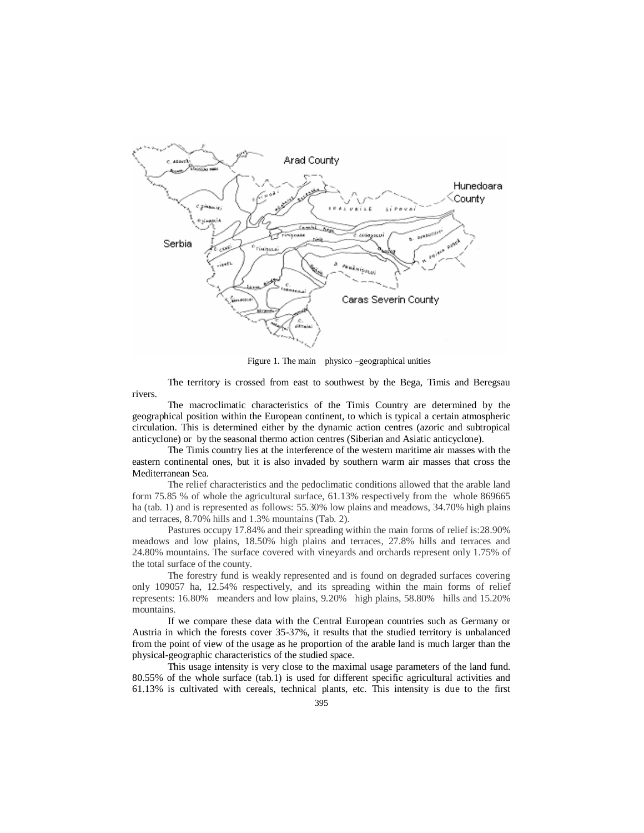

Figure 1. The main physico –geographical unities

The territory is crossed from east to southwest by the Bega, Timis and Beregsau rivers.

The macroclimatic characteristics of the Timis Country are determined by the geographical position within the European continent, to which is typical a certain atmospheric circulation. This is determined either by the dynamic action centres (azoric and subtropical anticyclone) or by the seasonal thermo action centres (Siberian and Asiatic anticyclone).

The Timis country lies at the interference of the western maritime air masses with the eastern continental ones, but it is also invaded by southern warm air masses that cross the Mediterranean Sea.

The relief characteristics and the pedoclimatic conditions allowed that the arable land form 75.85 % of whole the agricultural surface, 61.13% respectively from the whole 869665 ha (tab. 1) and is represented as follows: 55.30% low plains and meadows, 34.70% high plains and terraces, 8.70% hills and 1.3% mountains (Tab. 2).

Pastures occupy 17.84% and their spreading within the main forms of relief is:28.90% meadows and low plains, 18.50% high plains and terraces, 27.8% hills and terraces and 24.80% mountains. The surface covered with vineyards and orchards represent only 1.75% of the total surface of the county.

The forestry fund is weakly represented and is found on degraded surfaces covering only 109057 ha, 12.54% respectively, and its spreading within the main forms of relief represents: 16.80% meanders and low plains, 9.20% high plains, 58.80% hills and 15.20% mountains.

If we compare these data with the Central European countries such as Germany or Austria in which the forests cover 35-37%, it results that the studied territory is unbalanced from the point of view of the usage as he proportion of the arable land is much larger than the physical-geographic characteristics of the studied space.

This usage intensity is very close to the maximal usage parameters of the land fund. 80.55% of the whole surface (tab.1) is used for different specific agricultural activities and 61.13% is cultivated with cereals, technical plants, etc. This intensity is due to the first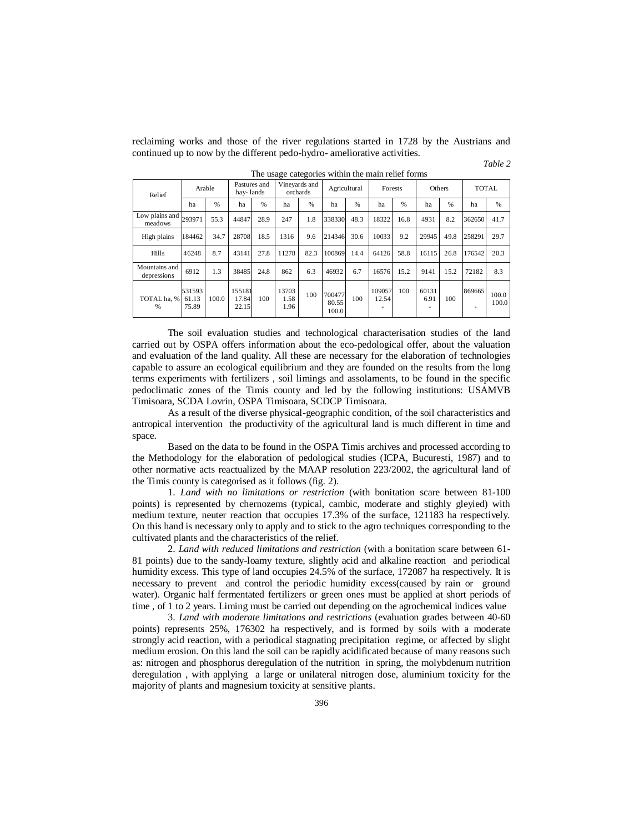reclaiming works and those of the river regulations started in 1728 by the Austrians and continued up to now by the different pedo-hydro- ameliorative activities.

*Table 2*

| Relief                                | Arable                   |               | Pastures and<br>hay-lands |      | Vineyards and<br>orchards |               | Agricultural             |               | Forests         |      | Others              |      | <b>TOTAL</b> |                |
|---------------------------------------|--------------------------|---------------|---------------------------|------|---------------------------|---------------|--------------------------|---------------|-----------------|------|---------------------|------|--------------|----------------|
|                                       | ha                       | $\frac{0}{6}$ | ha                        | %    | ha                        | $\frac{0}{0}$ | ha                       | $\frac{9}{6}$ | ha              | %    | ha                  | %    | ha           | %              |
| Low plains and $_{293971}$<br>meadows |                          | 55.3          | 44847                     | 28.9 | 247                       | 1.8           | 338330                   | 48.3          | 18322           | 16.8 | 4931                | 8.2  | 362650       | 41.7           |
| High plains                           | 184462                   | 34.7          | 28708                     | 18.5 | 1316                      | 9.6           | 214346                   | 30.6          | 10033           | 9.2  | 29945               | 49.8 | 258291       | 29.7           |
| <b>Hills</b>                          | 46248                    | 8.7           | 43141                     | 27.8 | 11278                     | 82.3          | 100869                   | 14.4          | 64126           | 58.8 | 16115               | 26.8 | 176542       | 20.3           |
| Mountains and<br>depressions          | 6912                     | 1.3           | 38485                     | 24.8 | 862                       | 6.3           | 46932                    | 6.7           | 16576           | 15.2 | 9141                | 15.2 | 72182        | 8.3            |
| TOTAL ha. %<br>%                      | 531593<br>61.13<br>75.89 | 100.0         | 155181<br>17.84<br>22.15  | 100  | 13703<br>1.58<br>1.96     | 100           | 700477<br>80.55<br>100.0 | 100           | 109057<br>12.54 | 100  | 60131<br>6.91<br>۰. | 100  | 869665<br>۰  | 100.0<br>100.0 |

The usage categories within the main relief forms

The soil evaluation studies and technological characterisation studies of the land carried out by OSPA offers information about the eco-pedological offer, about the valuation and evaluation of the land quality. All these are necessary for the elaboration of technologies capable to assure an ecological equilibrium and they are founded on the results from the long terms experiments with fertilizers , soil limings and assolaments, to be found in the specific pedoclimatic zones of the Timis county and led by the following institutions: USAMVB Timisoara, SCDA Lovrin, OSPA Timisoara, SCDCP Timisoara.

As a result of the diverse physical-geographic condition, of the soil characteristics and antropical intervention the productivity of the agricultural land is much different in time and space.

Based on the data to be found in the OSPA Timis archives and processed according to the Methodology for the elaboration of pedological studies (ICPA, Bucuresti, 1987) and to other normative acts reactualized by the MAAP resolution 223/2002, the agricultural land of the Timis county is categorised as it follows (fig. 2).

1. *Land with no limitations or restriction* (with bonitation scare between 81-100 points) is represented by chernozems (typical, cambic, moderate and stighly gleyied) with medium texture, neuter reaction that occupies 17.3% of the surface, 121183 ha respectively. On this hand is necessary only to apply and to stick to the agro techniques corresponding to the cultivated plants and the characteristics of the relief.

2. *Land with reduced limitations and restriction* (with a bonitation scare between 61- 81 points) due to the sandy-loamy texture, slightly acid and alkaline reaction and periodical humidity excess. This type of land occupies 24.5% of the surface, 172087 ha respectively. It is necessary to prevent and control the periodic humidity excess(caused by rain or ground water). Organic half fermentated fertilizers or green ones must be applied at short periods of time , of 1 to 2 years. Liming must be carried out depending on the agrochemical indices value

3. *Land with moderate limitations and restrictions* (evaluation grades between 40-60 points) represents 25%, 176302 ha respectively, and is formed by soils with a moderate strongly acid reaction, with a periodical stagnating precipitation regime, or affected by slight medium erosion. On this land the soil can be rapidly acidificated because of many reasons such as: nitrogen and phosphorus deregulation of the nutrition in spring, the molybdenum nutrition deregulation , with applying a large or unilateral nitrogen dose, aluminium toxicity for the majority of plants and magnesium toxicity at sensitive plants.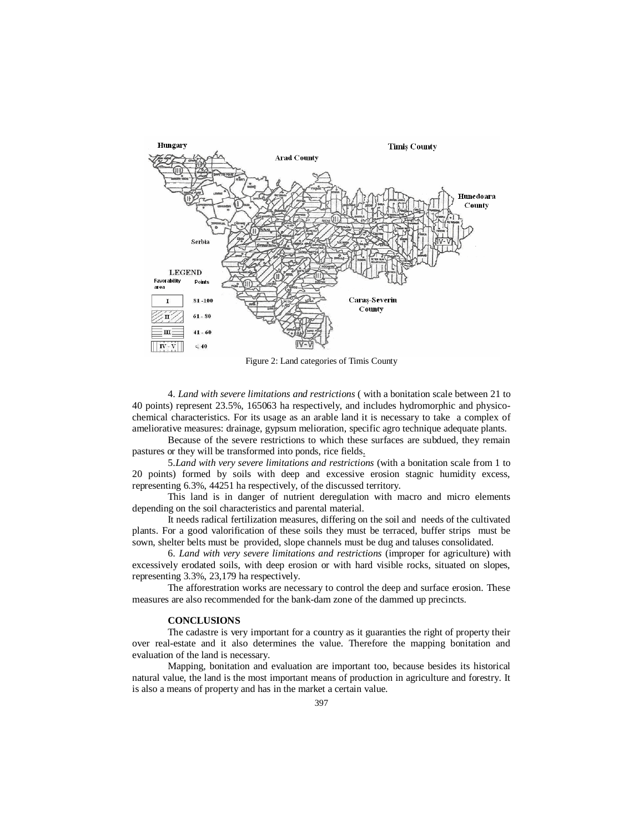

Figure 2: Land categories of Timis County

4. *Land with severe limitations and restrictions* ( with a bonitation scale between 21 to 40 points) represent 23.5%, 165063 ha respectively, and includes hydromorphic and physicochemical characteristics. For its usage as an arable land it is necessary to take a complex of ameliorative measures: drainage, gypsum melioration, specific agro technique adequate plants.

Because of the severe restrictions to which these surfaces are subdued, they remain pastures or they will be transformed into ponds, rice fields.

5.*Land with very severe limitations and restrictions* (with a bonitation scale from 1 to 20 points) formed by soils with deep and excessive erosion stagnic humidity excess, representing 6.3%, 44251 ha respectively, of the discussed territory.

This land is in danger of nutrient deregulation with macro and micro elements depending on the soil characteristics and parental material.

It needs radical fertilization measures, differing on the soil and needs of the cultivated plants. For a good valorification of these soils they must be terraced, buffer strips must be sown, shelter belts must be provided, slope channels must be dug and taluses consolidated.

6. *Land with very severe limitations and restrictions* (improper for agriculture) with excessively erodated soils, with deep erosion or with hard visible rocks, situated on slopes, representing 3.3%, 23,179 ha respectively.

The afforestration works are necessary to control the deep and surface erosion. These measures are also recommended for the bank-dam zone of the dammed up precincts.

### **CONCLUSIONS**

The cadastre is very important for a country as it guaranties the right of property their over real-estate and it also determines the value. Therefore the mapping bonitation and evaluation of the land is necessary.

Mapping, bonitation and evaluation are important too, because besides its historical natural value, the land is the most important means of production in agriculture and forestry. It is also a means of property and has in the market a certain value.